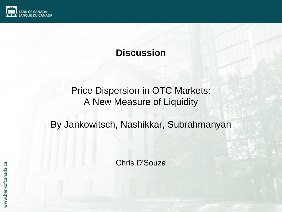

#### **Discussion**

### Price Dispersion in OTC Markets: A New Measure of Liquidity

#### By Jankowitsch, Nashikkar, Subrahmanyan

Chris D"Souza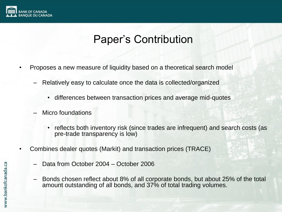

## Paper"s Contribution

- Proposes a new measure of liquidity based on a theoretical search model
	- Relatively easy to calculate once the data is collected/organized
		- differences between transaction prices and average mid-quotes
	- Micro foundations
		- reflects both inventory risk (since trades are infrequent) and search costs (as pre-trade transparency is low)
- Combines dealer quotes (Markit) and transaction prices (TRACE)
	- Data from October 2004 October 2006
	- Bonds chosen reflect about 8% of all corporate bonds, but about 25% of the total amount outstanding of all bonds, and 37% of total trading volumes.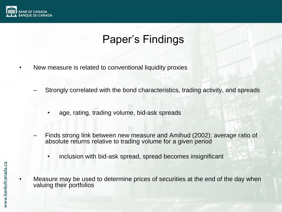

# Paper"s Findings

- New measure is related to conventional liquidity proxies
	- Strongly correlated with the bond characteristics, trading activity, and spreads
		- age, rating, trading volume, bid-ask spreads
	- Finds strong link between new measure and Amihud (2002): average ratio of absolute returns relative to trading volume for a given period
		- inclusion with bid-ask spread, spread becomes insignificant
- Measure may be used to determine prices of securities at the end of the day when valuing their portfolios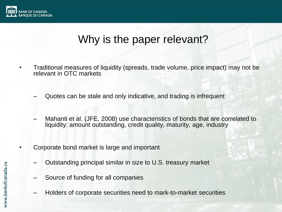

### Why is the paper relevant?

- Traditional measures of liquidity (spreads, trade volume, price impact) may not be relevant in OTC markets
	- Quotes can be stale and only indicative, and trading is infrequent
	- Mahanti et al. (JFE, 2008) use characteristics of bonds that are correlated to liquidity: amount outstanding, credit quality, maturity, age, industry
	- Corporate bond market is large and important
		- Outstanding principal similar in size to U.S. treasury market
		- Source of funding for all companies
		- Holders of corporate securities need to mark-to-market securities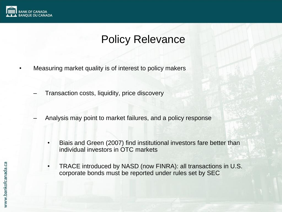

## Policy Relevance

- Measuring market quality is of interest to policy makers
	- Transaction costs, liquidity, price discovery
	- Analysis may point to market failures, and a policy response
		- Biais and Green (2007) find institutional investors fare better than individual investors in OTC markets
		- TRACE introduced by NASD (now FINRA): all transactions in U.S. corporate bonds must be reported under rules set by SEC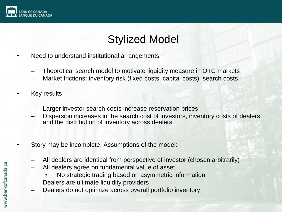

# Stylized Model

- Need to understand institutional arrangements
	- Theoretical search model to motivate liquidity measure in OTC markets
	- Market frictions: inventory risk (fixed costs, capital costs), search costs
- Key results
	- Larger investor search costs increase reservation prices
	- Dispersion increases in the search cost of investors, inventory costs of dealers, and the distribution of inventory across dealers
- Story may be incomplete. Assumptions of the model:
	- All dealers are identical from perspective of investor (chosen arbitrarily)
	- All dealers agree on fundamental value of asset
		- No strategic trading based on asymmetric information
	- Dealers are ultimate liquidity providers
	- Dealers do not optimize across overall portfolio inventory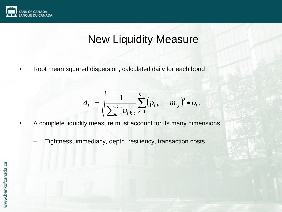

### New Liquidity Measure

• Root mean squared dispersion, calculated daily for each bond

$$
d_{i,t} = \sqrt{\frac{1}{\sum_{k=1}^{K_{i,t}} U_{i,k,t}} \sum_{k=1}^{K_{i,t}} (p_{i,k,t} - m_{i,t})^2 \bullet v_{i,k,t}}
$$

- A complete liquidity measure must account for its many dimensions
	- Tightness, immediacy, depth, resiliency, transaction costs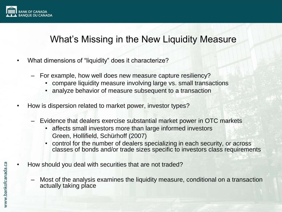

#### What's Missing in the New Liquidity Measure

- What dimensions of "liquidity" does it characterize?
	- For example, how well does new measure capture resiliency?
		- compare liquidity measure involving large vs. small transactions
		- analyze behavior of measure subsequent to a transaction
- How is dispersion related to market power, investor types?
	- Evidence that dealers exercise substantial market power in OTC markets
		- affects small investors more than large informed investors Green, Hollifield, Schürhoff (2007)
		- control for the number of dealers specializing in each security, or across classes of bonds and/or trade sizes specific to investors class requirements
- How should you deal with securities that are not traded?
	- Most of the analysis examines the liquidity measure, conditional on a transaction actually taking place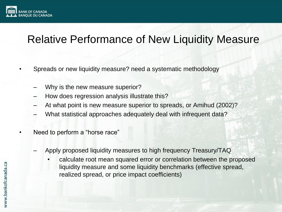

## Relative Performance of New Liquidity Measure

- Spreads or new liquidity measure? need a systematic methodology
	- Why is the new measure superior?
	- How does regression analysis illustrate this?
	- At what point is new measure superior to spreads, or Amihud (2002)?
	- What statistical approaches adequately deal with infrequent data?
- Need to perform a "horse race"
	- Apply proposed liquidity measures to high frequency Treasury/TAQ
		- calculate root mean squared error or correlation between the proposed liquidity measure and some liquidity benchmarks (effective spread, realized spread, or price impact coefficients)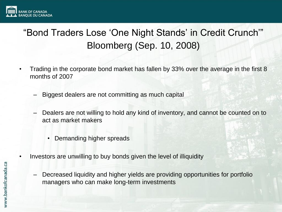

### "Bond Traders Lose "One Night Stands" in Credit Crunch"" Bloomberg (Sep. 10, 2008)

- Trading in the corporate bond market has fallen by 33% over the average in the first 8 months of 2007
	- Biggest dealers are not committing as much capital
	- Dealers are not willing to hold any kind of inventory, and cannot be counted on to act as market makers
		- Demanding higher spreads
- Investors are unwilling to buy bonds given the level of illiquidity
	- Decreased liquidity and higher yields are providing opportunities for portfolio managers who can make long-term investments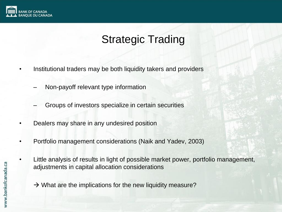

# Strategic Trading

- Institutional traders may be both liquidity takers and providers
	- Non-payoff relevant type information
	- Groups of investors specialize in certain securities
- Dealers may share in any undesired position
- Portfolio management considerations (Naik and Yadev, 2003)
- Little analysis of results in light of possible market power, portfolio management, adjustments in capital allocation considerations
	- $\rightarrow$  What are the implications for the new liquidity measure?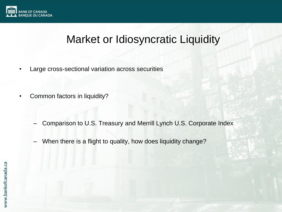

### Market or Idiosyncratic Liquidity

- Large cross-sectional variation across securities
- Common factors in liquidity?
	- Comparison to U.S. Treasury and Merrill Lynch U.S. Corporate Index
	- When there is a flight to quality, how does liquidity change?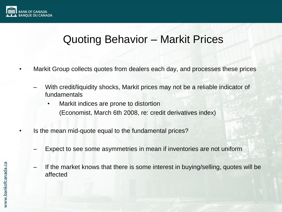

### Quoting Behavior – Markit Prices

- Markit Group collects quotes from dealers each day, and processes these prices
	- With credit/liquidity shocks, Markit prices may not be a reliable indicator of fundamentals
		- Markit indices are prone to distortion (Economist, March 6th 2008, re: credit derivatives index)
- Is the mean mid-quote equal to the fundamental prices?
	- Expect to see some asymmetries in mean if inventories are not uniform
	- If the market knows that there is some interest in buying/selling, quotes will be affected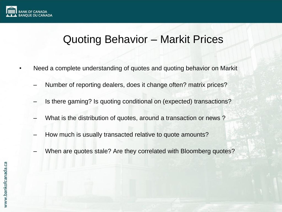

### Quoting Behavior – Markit Prices

- Need a complete understanding of quotes and quoting behavior on Markit
	- Number of reporting dealers, does it change often? matrix prices?
	- Is there gaming? Is quoting conditional on (expected) transactions?
	- What is the distribution of quotes, around a transaction or news?
	- How much is usually transacted relative to quote amounts?
	- When are quotes stale? Are they correlated with Bloomberg quotes?